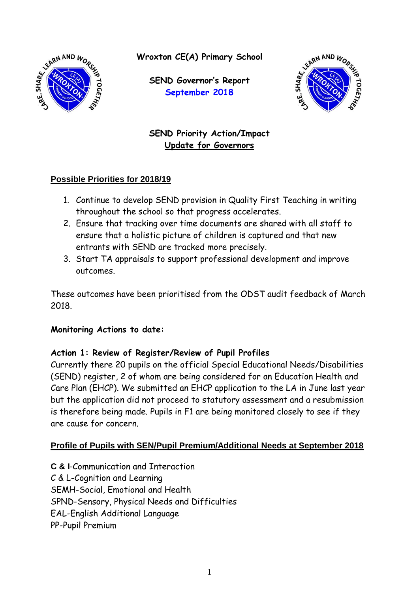

**Wroxton CE(A) Primary School**

**SEND Governor's Report September 2018**



**SEND Priority Action/Impact Update for Governors**

### **Possible Priorities for 2018/19**

- 1. Continue to develop SEND provision in Quality First Teaching in writing throughout the school so that progress accelerates.
- 2. Ensure that tracking over time documents are shared with all staff to ensure that a holistic picture of children is captured and that new entrants with SEND are tracked more precisely.
- 3. Start TA appraisals to support professional development and improve outcomes.

These outcomes have been prioritised from the ODST audit feedback of March 2018.

### **Monitoring Actions to date:**

# **Action 1: Review of Register/Review of Pupil Profiles**

Currently there 20 pupils on the official Special Educational Needs/Disabilities (SEND) register, 2 of whom are being considered for an Education Health and Care Plan (EHCP). We submitted an EHCP application to the LA in June last year but the application did not proceed to statutory assessment and a resubmission is therefore being made. Pupils in F1 are being monitored closely to see if they are cause for concern.

# **Profile of Pupils with SEN/Pupil Premium/Additional Needs at September 2018**

**C & I**-Communication and Interaction C & L-Cognition and Learning SEMH-Social, Emotional and Health SPND-Sensory, Physical Needs and Difficulties EAL-English Additional Language PP-Pupil Premium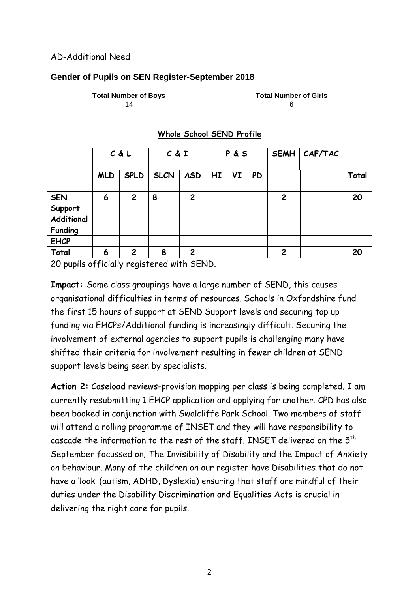### AD-Additional Need

### **Gender of Pupils on SEN Register-September 2018**

| <b>Total Number of Boys</b> | <b>Total Number of Girls</b> |
|-----------------------------|------------------------------|
|                             |                              |

|                              | C & L      |                | C & I       |                | P&S |    | <b>SEMH</b> | CAF/TAC        |  |       |
|------------------------------|------------|----------------|-------------|----------------|-----|----|-------------|----------------|--|-------|
|                              | <b>MLD</b> | <b>SPLD</b>    | <b>SLCN</b> | <b>ASD</b>     | HI  | VI | <b>PD</b>   |                |  | Total |
| <b>SEN</b><br>Support        | 6          | $\overline{2}$ | 8           | 2              |     |    |             | $\overline{2}$ |  | 20    |
| Additional<br><b>Funding</b> |            |                |             |                |     |    |             |                |  |       |
| <b>EHCP</b>                  |            |                |             |                |     |    |             |                |  |       |
| Total                        | 6          | $\overline{2}$ | 8           | $\overline{2}$ |     |    |             | $\overline{c}$ |  | 20    |

#### **Whole School SEND Profile**

20 pupils officially registered with SEND.

**Impact:** Some class groupings have a large number of SEND, this causes organisational difficulties in terms of resources. Schools in Oxfordshire fund the first 15 hours of support at SEND Support levels and securing top up funding via EHCPs/Additional funding is increasingly difficult. Securing the involvement of external agencies to support pupils is challenging many have shifted their criteria for involvement resulting in fewer children at SEND support levels being seen by specialists.

**Action 2:** Caseload reviews-provision mapping per class is being completed. I am currently resubmitting 1 EHCP application and applying for another. CPD has also been booked in conjunction with Swalcliffe Park School. Two members of staff will attend a rolling programme of INSET and they will have responsibility to cascade the information to the rest of the staff. INSET delivered on the 5<sup>th</sup> September focussed on; The Invisibility of Disability and the Impact of Anxiety on behaviour. Many of the children on our register have Disabilities that do not have a 'look' (autism, ADHD, Dyslexia) ensuring that staff are mindful of their duties under the Disability Discrimination and Equalities Acts is crucial in delivering the right care for pupils.